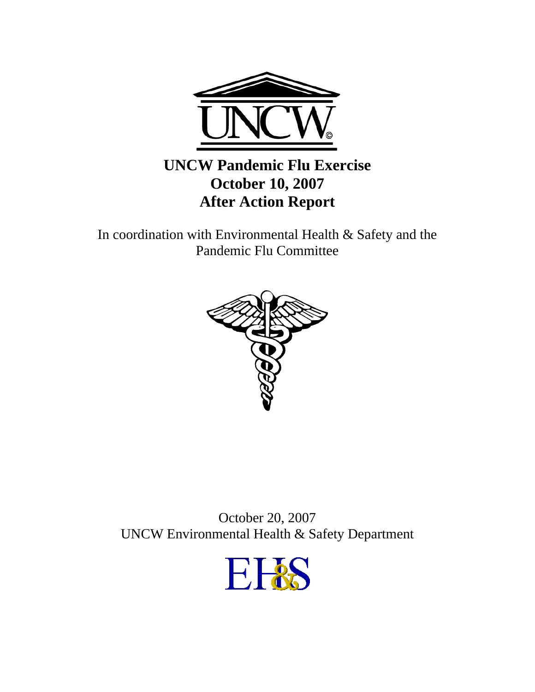

# **UNCW Pandemic Flu Exercise October 10, 2007 After Action Report**

In coordination with Environmental Health & Safety and the Pandemic Flu Committee



October 20, 2007 UNCW Environmental Health & Safety Department

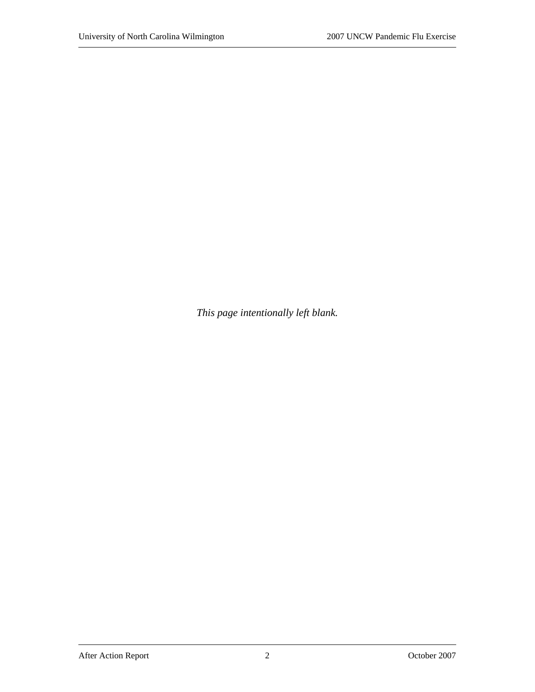*This page intentionally left blank.*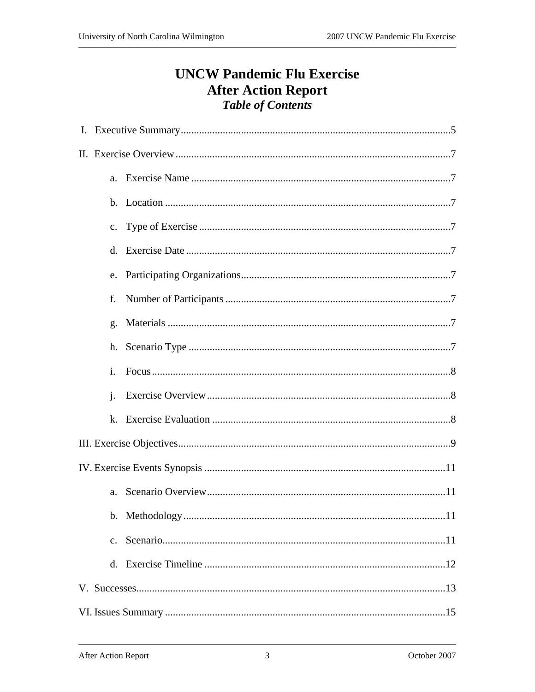# **UNCW Pandemic Flu Exercise After Action Report Table of Contents**

|  | a.             |  |  |
|--|----------------|--|--|
|  |                |  |  |
|  | c.             |  |  |
|  | d.             |  |  |
|  | e.             |  |  |
|  | f.             |  |  |
|  | g.             |  |  |
|  | h.             |  |  |
|  | $\mathbf{i}$ . |  |  |
|  | j.             |  |  |
|  | $\mathbf{k}$ . |  |  |
|  |                |  |  |
|  |                |  |  |
|  | a.             |  |  |
|  |                |  |  |
|  | $\mathbf{c}$ . |  |  |
|  |                |  |  |
|  |                |  |  |
|  |                |  |  |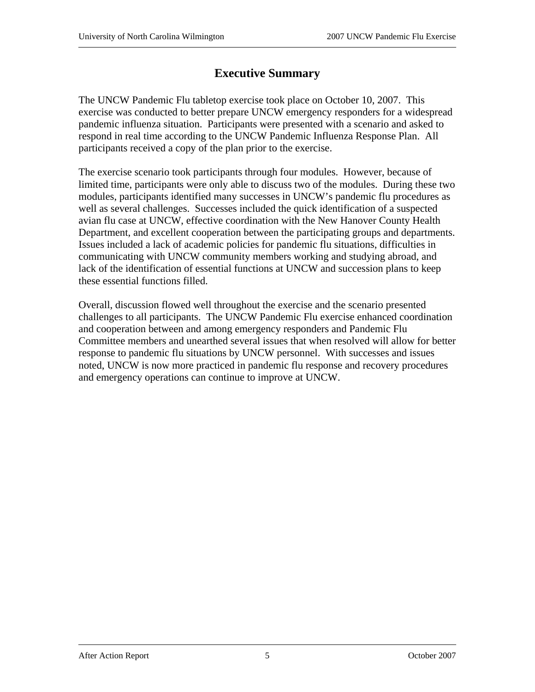## **Executive Summary**

The UNCW Pandemic Flu tabletop exercise took place on October 10, 2007. This exercise was conducted to better prepare UNCW emergency responders for a widespread pandemic influenza situation. Participants were presented with a scenario and asked to respond in real time according to the UNCW Pandemic Influenza Response Plan. All participants received a copy of the plan prior to the exercise.

The exercise scenario took participants through four modules. However, because of limited time, participants were only able to discuss two of the modules. During these two modules, participants identified many successes in UNCW's pandemic flu procedures as well as several challenges. Successes included the quick identification of a suspected avian flu case at UNCW, effective coordination with the New Hanover County Health Department, and excellent cooperation between the participating groups and departments. Issues included a lack of academic policies for pandemic flu situations, difficulties in communicating with UNCW community members working and studying abroad, and lack of the identification of essential functions at UNCW and succession plans to keep these essential functions filled.

Overall, discussion flowed well throughout the exercise and the scenario presented challenges to all participants. The UNCW Pandemic Flu exercise enhanced coordination and cooperation between and among emergency responders and Pandemic Flu Committee members and unearthed several issues that when resolved will allow for better response to pandemic flu situations by UNCW personnel. With successes and issues noted, UNCW is now more practiced in pandemic flu response and recovery procedures and emergency operations can continue to improve at UNCW.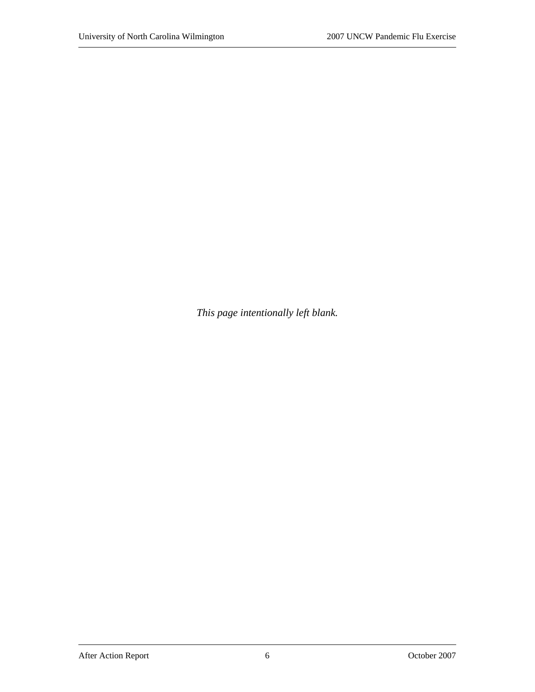*This page intentionally left blank.*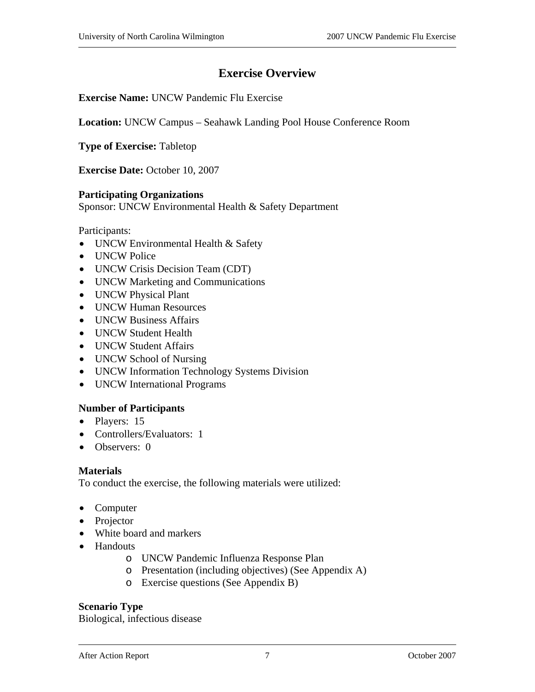## **Exercise Overview**

**Exercise Name:** UNCW Pandemic Flu Exercise

**Location:** UNCW Campus – Seahawk Landing Pool House Conference Room

**Type of Exercise:** Tabletop

**Exercise Date:** October 10, 2007

#### **Participating Organizations**

Sponsor: UNCW Environmental Health & Safety Department

#### Participants:

- UNCW Environmental Health & Safety
- UNCW Police
- UNCW Crisis Decision Team (CDT)
- UNCW Marketing and Communications
- UNCW Physical Plant
- UNCW Human Resources
- UNCW Business Affairs
- UNCW Student Health
- UNCW Student Affairs
- UNCW School of Nursing
- UNCW Information Technology Systems Division
- UNCW International Programs

#### **Number of Participants**

- Players: 15
- Controllers/Evaluators: 1
- Observers: 0

#### **Materials**

To conduct the exercise, the following materials were utilized:

- Computer
- Projector
- White board and markers
- Handouts
	- o UNCW Pandemic Influenza Response Plan
	- o Presentation (including objectives) (See Appendix A)
	- o Exercise questions (See Appendix B)

#### **Scenario Type**

Biological, infectious disease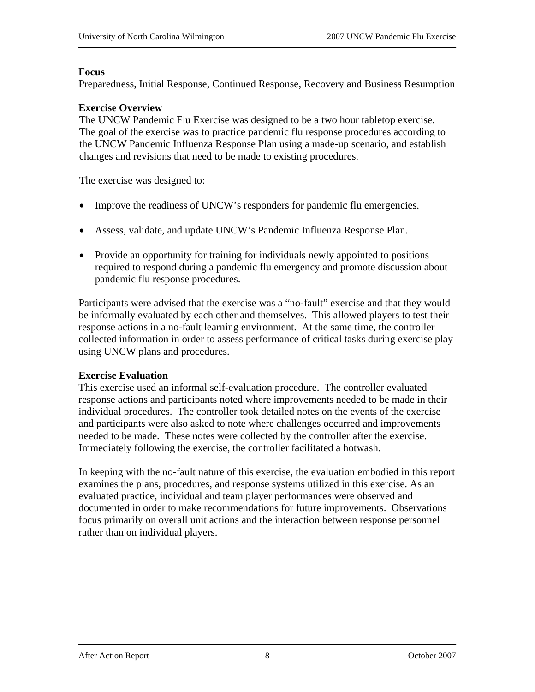#### **Focus**

Preparedness, Initial Response, Continued Response, Recovery and Business Resumption

#### **Exercise Overview**

The UNCW Pandemic Flu Exercise was designed to be a two hour tabletop exercise. The goal of the exercise was to practice pandemic flu response procedures according to the UNCW Pandemic Influenza Response Plan using a made-up scenario, and establish changes and revisions that need to be made to existing procedures.

The exercise was designed to:

- Improve the readiness of UNCW's responders for pandemic flu emergencies.
- Assess, validate, and update UNCW's Pandemic Influenza Response Plan.
- Provide an opportunity for training for individuals newly appointed to positions required to respond during a pandemic flu emergency and promote discussion about pandemic flu response procedures.

Participants were advised that the exercise was a "no-fault" exercise and that they would be informally evaluated by each other and themselves. This allowed players to test their response actions in a no-fault learning environment. At the same time, the controller collected information in order to assess performance of critical tasks during exercise play using UNCW plans and procedures.

#### **Exercise Evaluation**

This exercise used an informal self-evaluation procedure. The controller evaluated response actions and participants noted where improvements needed to be made in their individual procedures. The controller took detailed notes on the events of the exercise and participants were also asked to note where challenges occurred and improvements needed to be made. These notes were collected by the controller after the exercise. Immediately following the exercise, the controller facilitated a hotwash.

In keeping with the no-fault nature of this exercise, the evaluation embodied in this report examines the plans, procedures, and response systems utilized in this exercise. As an evaluated practice, individual and team player performances were observed and documented in order to make recommendations for future improvements. Observations focus primarily on overall unit actions and the interaction between response personnel rather than on individual players.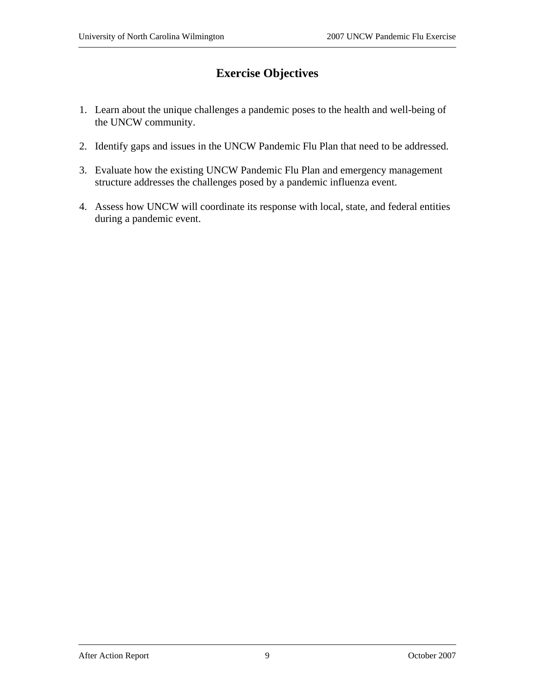## **Exercise Objectives**

- 1. Learn about the unique challenges a pandemic poses to the health and well-being of the UNCW community.
- 2. Identify gaps and issues in the UNCW Pandemic Flu Plan that need to be addressed.
- 3. Evaluate how the existing UNCW Pandemic Flu Plan and emergency management structure addresses the challenges posed by a pandemic influenza event.
- 4. Assess how UNCW will coordinate its response with local, state, and federal entities during a pandemic event.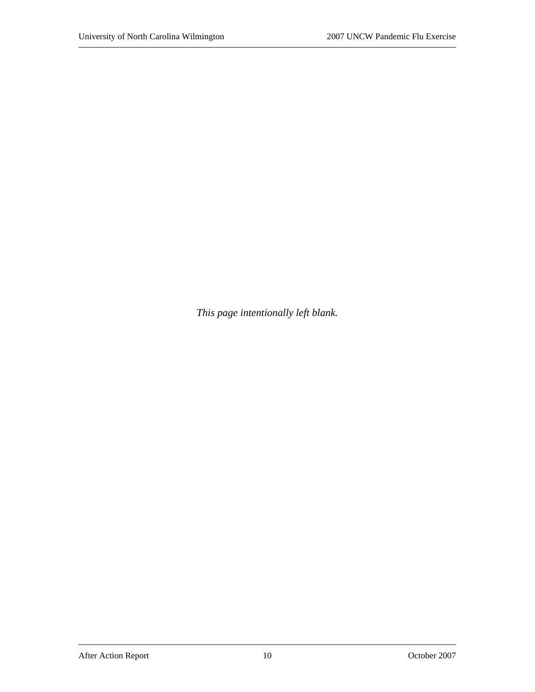*This page intentionally left blank.*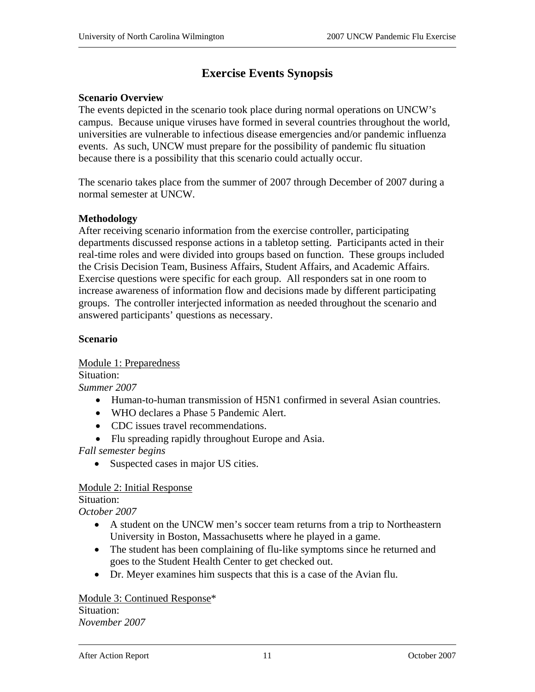## **Exercise Events Synopsis**

#### **Scenario Overview**

The events depicted in the scenario took place during normal operations on UNCW's campus. Because unique viruses have formed in several countries throughout the world, universities are vulnerable to infectious disease emergencies and/or pandemic influenza events. As such, UNCW must prepare for the possibility of pandemic flu situation because there is a possibility that this scenario could actually occur.

The scenario takes place from the summer of 2007 through December of 2007 during a normal semester at UNCW.

#### **Methodology**

After receiving scenario information from the exercise controller, participating departments discussed response actions in a tabletop setting. Participants acted in their real-time roles and were divided into groups based on function. These groups included the Crisis Decision Team, Business Affairs, Student Affairs, and Academic Affairs. Exercise questions were specific for each group. All responders sat in one room to increase awareness of information flow and decisions made by different participating groups. The controller interjected information as needed throughout the scenario and answered participants' questions as necessary.

#### **Scenario**

Module 1: Preparedness

Situation:

*Summer 2007* 

- Human-to-human transmission of H5N1 confirmed in several Asian countries.
- WHO declares a Phase 5 Pandemic Alert.
- CDC issues travel recommendations.
- Flu spreading rapidly throughout Europe and Asia.

*Fall semester begins* 

• Suspected cases in major US cities.

#### Module 2: Initial Response

Situation:

*October 2007* 

- A student on the UNCW men's soccer team returns from a trip to Northeastern University in Boston, Massachusetts where he played in a game.
- The student has been complaining of flu-like symptoms since he returned and goes to the Student Health Center to get checked out.
- Dr. Meyer examines him suspects that this is a case of the Avian flu.

Module 3: Continued Response\*

Situation: *November 2007*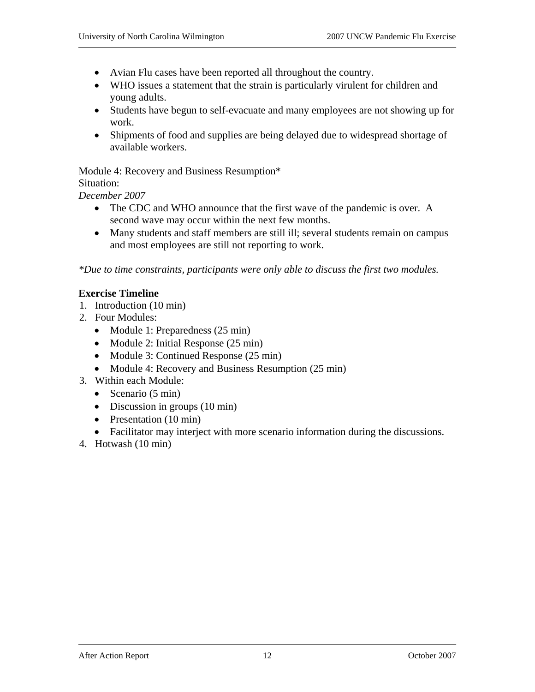- Avian Flu cases have been reported all throughout the country.
- WHO issues a statement that the strain is particularly virulent for children and young adults.
- Students have begun to self-evacuate and many employees are not showing up for work.
- Shipments of food and supplies are being delayed due to widespread shortage of available workers.

## Module 4: Recovery and Business Resumption\*

Situation:

*December 2007* 

- The CDC and WHO announce that the first wave of the pandemic is over. A second wave may occur within the next few months.
- Many students and staff members are still ill; several students remain on campus and most employees are still not reporting to work.

*\*Due to time constraints, participants were only able to discuss the first two modules.* 

#### **Exercise Timeline**

- 1. Introduction (10 min)
- 2. Four Modules:
	- Module 1: Preparedness (25 min)
	- Module 2: Initial Response (25 min)
	- Module 3: Continued Response (25 min)
	- Module 4: Recovery and Business Resumption (25 min)
- 3. Within each Module:
	- Scenario (5 min)
	- Discussion in groups (10 min)
	- Presentation (10 min)
	- Facilitator may interject with more scenario information during the discussions.
- 4. Hotwash (10 min)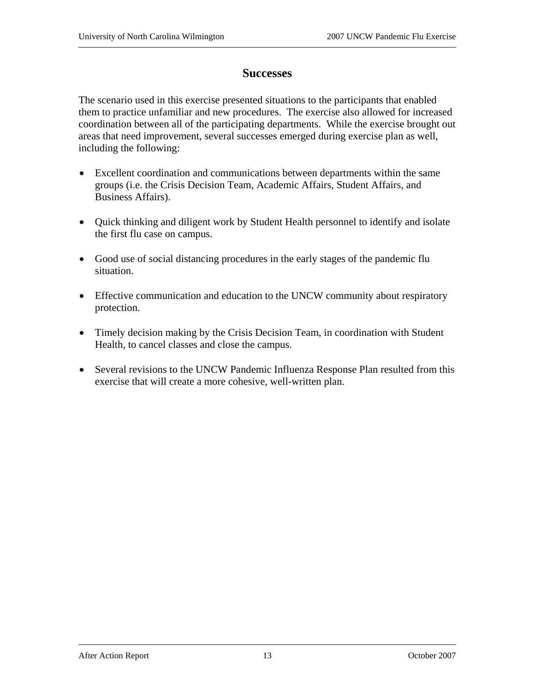## **Successes**

The scenario used in this exercise presented situations to the participants that enabled them to practice unfamiliar and new procedures. The exercise also allowed for increased coordination between all of the participating departments. While the exercise brought out areas that need improvement, several successes emerged during exercise plan as well, including the following:

- Excellent coordination and communications between departments within the same groups (i.e. the Crisis Decision Team, Academic Affairs, Student Affairs, and Business Affairs).
- Quick thinking and diligent work by Student Health personnel to identify and isolate the first flu case on campus.
- Good use of social distancing procedures in the early stages of the pandemic flu situation.
- Effective communication and education to the UNCW community about respiratory protection.
- Timely decision making by the Crisis Decision Team, in coordination with Student Health, to cancel classes and close the campus.
- Several revisions to the UNCW Pandemic Influenza Response Plan resulted from this exercise that will create a more cohesive, well-written plan.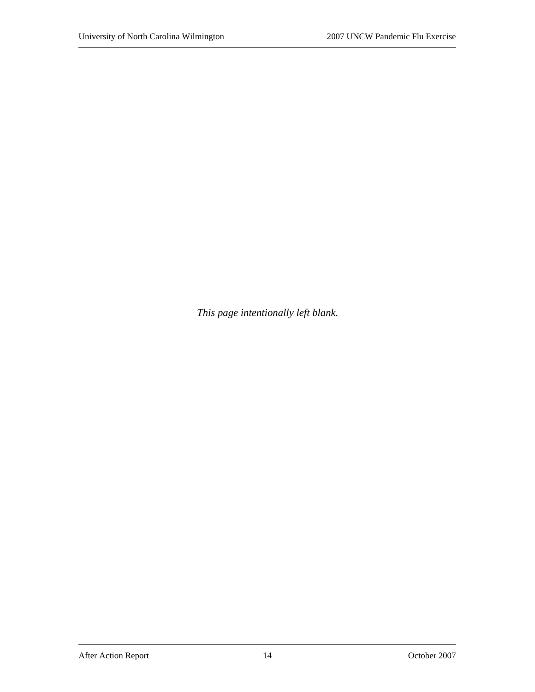*This page intentionally left blank.*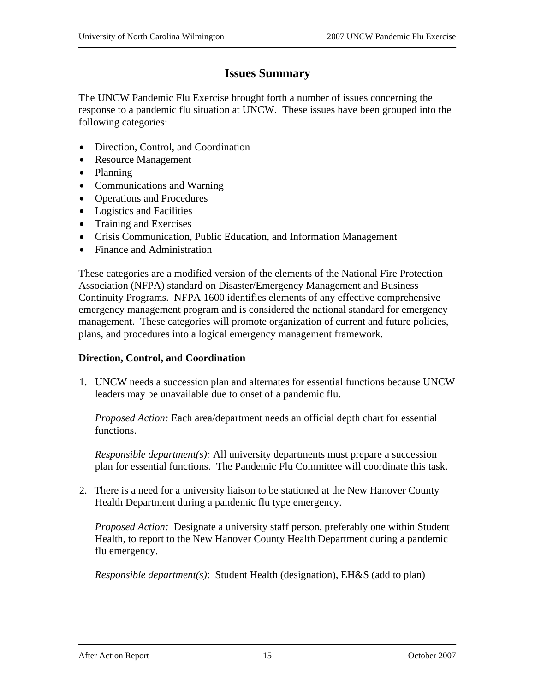## **Issues Summary**

The UNCW Pandemic Flu Exercise brought forth a number of issues concerning the response to a pandemic flu situation at UNCW. These issues have been grouped into the following categories:

- Direction, Control, and Coordination
- Resource Management
- Planning
- Communications and Warning
- Operations and Procedures
- Logistics and Facilities
- Training and Exercises
- Crisis Communication, Public Education, and Information Management
- Finance and Administration

These categories are a modified version of the elements of the National Fire Protection Association (NFPA) standard on Disaster/Emergency Management and Business Continuity Programs. NFPA 1600 identifies elements of any effective comprehensive emergency management program and is considered the national standard for emergency management. These categories will promote organization of current and future policies, plans, and procedures into a logical emergency management framework.

#### **Direction, Control, and Coordination**

1. UNCW needs a succession plan and alternates for essential functions because UNCW leaders may be unavailable due to onset of a pandemic flu.

*Proposed Action:* Each area/department needs an official depth chart for essential functions.

*Responsible department(s):* All university departments must prepare a succession plan for essential functions. The Pandemic Flu Committee will coordinate this task.

2. There is a need for a university liaison to be stationed at the New Hanover County Health Department during a pandemic flu type emergency.

*Proposed Action:* Designate a university staff person, preferably one within Student Health, to report to the New Hanover County Health Department during a pandemic flu emergency.

*Responsible department(s)*: Student Health (designation), EH&S (add to plan)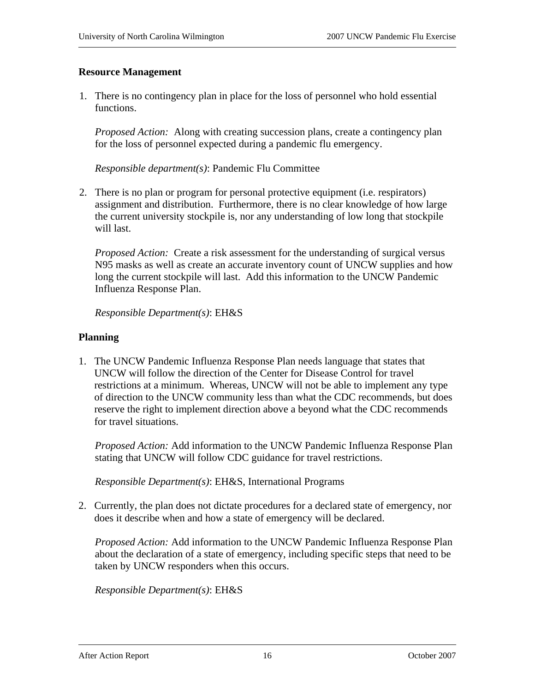#### **Resource Management**

1. There is no contingency plan in place for the loss of personnel who hold essential functions.

*Proposed Action:* Along with creating succession plans, create a contingency plan for the loss of personnel expected during a pandemic flu emergency.

*Responsible department(s)*: Pandemic Flu Committee

2. There is no plan or program for personal protective equipment (i.e. respirators) assignment and distribution. Furthermore, there is no clear knowledge of how large the current university stockpile is, nor any understanding of low long that stockpile will last.

*Proposed Action:* Create a risk assessment for the understanding of surgical versus N95 masks as well as create an accurate inventory count of UNCW supplies and how long the current stockpile will last. Add this information to the UNCW Pandemic Influenza Response Plan.

*Responsible Department(s)*: EH&S

#### **Planning**

1. The UNCW Pandemic Influenza Response Plan needs language that states that UNCW will follow the direction of the Center for Disease Control for travel restrictions at a minimum. Whereas, UNCW will not be able to implement any type of direction to the UNCW community less than what the CDC recommends, but does reserve the right to implement direction above a beyond what the CDC recommends for travel situations.

*Proposed Action:* Add information to the UNCW Pandemic Influenza Response Plan stating that UNCW will follow CDC guidance for travel restrictions.

*Responsible Department(s)*: EH&S, International Programs

2. Currently, the plan does not dictate procedures for a declared state of emergency, nor does it describe when and how a state of emergency will be declared.

*Proposed Action:* Add information to the UNCW Pandemic Influenza Response Plan about the declaration of a state of emergency, including specific steps that need to be taken by UNCW responders when this occurs.

*Responsible Department(s)*: EH&S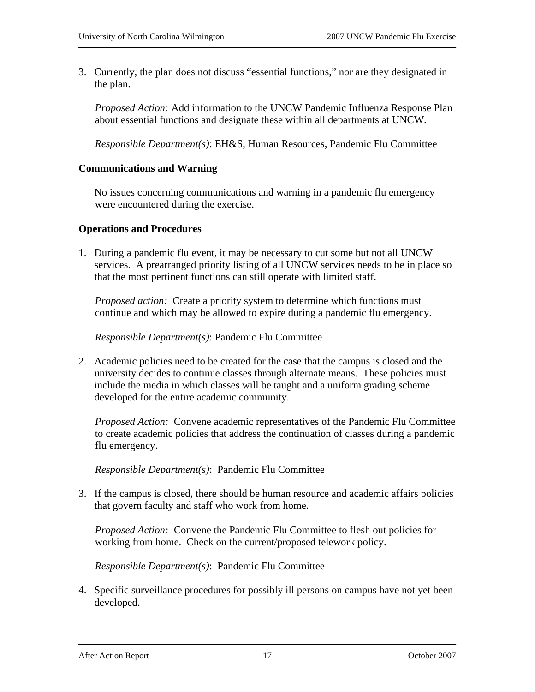3. Currently, the plan does not discuss "essential functions," nor are they designated in the plan.

*Proposed Action:* Add information to the UNCW Pandemic Influenza Response Plan about essential functions and designate these within all departments at UNCW.

*Responsible Department(s)*: EH&S, Human Resources, Pandemic Flu Committee

#### **Communications and Warning**

 No issues concerning communications and warning in a pandemic flu emergency were encountered during the exercise.

#### **Operations and Procedures**

1. During a pandemic flu event, it may be necessary to cut some but not all UNCW services. A prearranged priority listing of all UNCW services needs to be in place so that the most pertinent functions can still operate with limited staff.

*Proposed action:* Create a priority system to determine which functions must continue and which may be allowed to expire during a pandemic flu emergency.

*Responsible Department(s)*: Pandemic Flu Committee

2. Academic policies need to be created for the case that the campus is closed and the university decides to continue classes through alternate means. These policies must include the media in which classes will be taught and a uniform grading scheme developed for the entire academic community.

*Proposed Action:* Convene academic representatives of the Pandemic Flu Committee to create academic policies that address the continuation of classes during a pandemic flu emergency.

*Responsible Department(s)*: Pandemic Flu Committee

3. If the campus is closed, there should be human resource and academic affairs policies that govern faculty and staff who work from home.

*Proposed Action:* Convene the Pandemic Flu Committee to flesh out policies for working from home. Check on the current/proposed telework policy.

*Responsible Department(s)*: Pandemic Flu Committee

4. Specific surveillance procedures for possibly ill persons on campus have not yet been developed.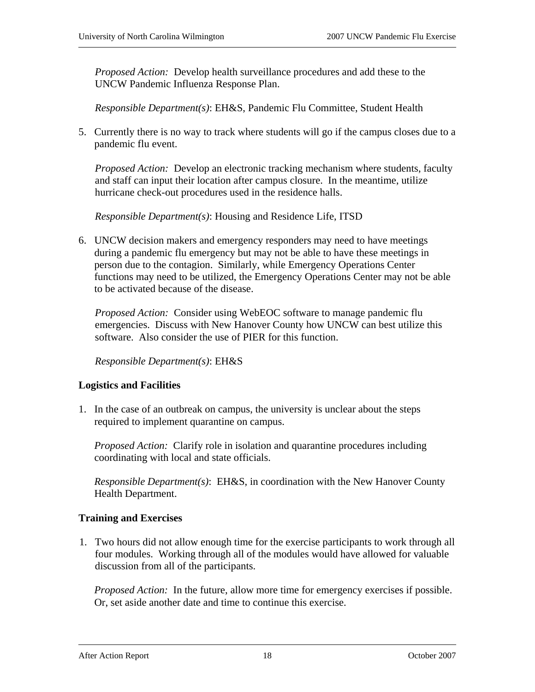*Proposed Action:* Develop health surveillance procedures and add these to the UNCW Pandemic Influenza Response Plan.

*Responsible Department(s)*: EH&S, Pandemic Flu Committee, Student Health

5. Currently there is no way to track where students will go if the campus closes due to a pandemic flu event.

*Proposed Action:* Develop an electronic tracking mechanism where students, faculty and staff can input their location after campus closure. In the meantime, utilize hurricane check-out procedures used in the residence halls.

*Responsible Department(s)*: Housing and Residence Life, ITSD

6. UNCW decision makers and emergency responders may need to have meetings during a pandemic flu emergency but may not be able to have these meetings in person due to the contagion. Similarly, while Emergency Operations Center functions may need to be utilized, the Emergency Operations Center may not be able to be activated because of the disease.

*Proposed Action:* Consider using WebEOC software to manage pandemic flu emergencies. Discuss with New Hanover County how UNCW can best utilize this software. Also consider the use of PIER for this function.

*Responsible Department(s)*: EH&S

#### **Logistics and Facilities**

1. In the case of an outbreak on campus, the university is unclear about the steps required to implement quarantine on campus.

*Proposed Action:* Clarify role in isolation and quarantine procedures including coordinating with local and state officials.

*Responsible Department(s)*: EH&S, in coordination with the New Hanover County Health Department.

#### **Training and Exercises**

1. Two hours did not allow enough time for the exercise participants to work through all four modules. Working through all of the modules would have allowed for valuable discussion from all of the participants.

*Proposed Action:* In the future, allow more time for emergency exercises if possible. Or, set aside another date and time to continue this exercise.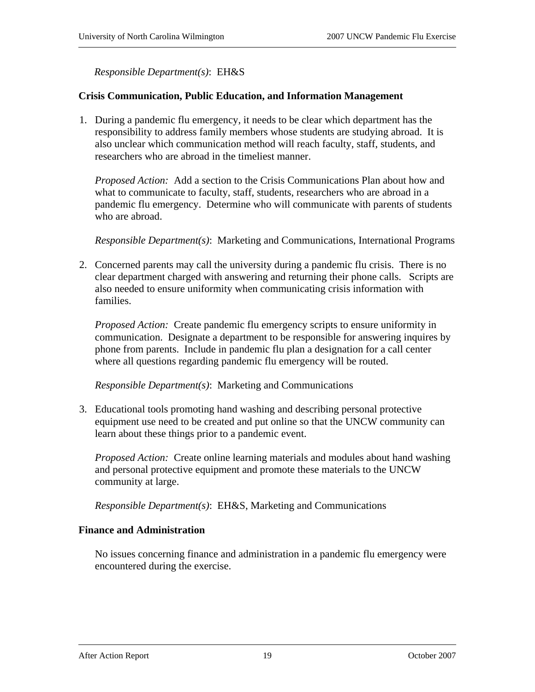*Responsible Department(s)*: EH&S

#### **Crisis Communication, Public Education, and Information Management**

1. During a pandemic flu emergency, it needs to be clear which department has the responsibility to address family members whose students are studying abroad. It is also unclear which communication method will reach faculty, staff, students, and researchers who are abroad in the timeliest manner.

*Proposed Action:* Add a section to the Crisis Communications Plan about how and what to communicate to faculty, staff, students, researchers who are abroad in a pandemic flu emergency. Determine who will communicate with parents of students who are abroad.

*Responsible Department(s)*: Marketing and Communications, International Programs

2. Concerned parents may call the university during a pandemic flu crisis. There is no clear department charged with answering and returning their phone calls. Scripts are also needed to ensure uniformity when communicating crisis information with families.

*Proposed Action:* Create pandemic flu emergency scripts to ensure uniformity in communication. Designate a department to be responsible for answering inquires by phone from parents. Include in pandemic flu plan a designation for a call center where all questions regarding pandemic flu emergency will be routed.

*Responsible Department(s)*: Marketing and Communications

3. Educational tools promoting hand washing and describing personal protective equipment use need to be created and put online so that the UNCW community can learn about these things prior to a pandemic event.

*Proposed Action:* Create online learning materials and modules about hand washing and personal protective equipment and promote these materials to the UNCW community at large.

*Responsible Department(s)*: EH&S, Marketing and Communications

#### **Finance and Administration**

No issues concerning finance and administration in a pandemic flu emergency were encountered during the exercise.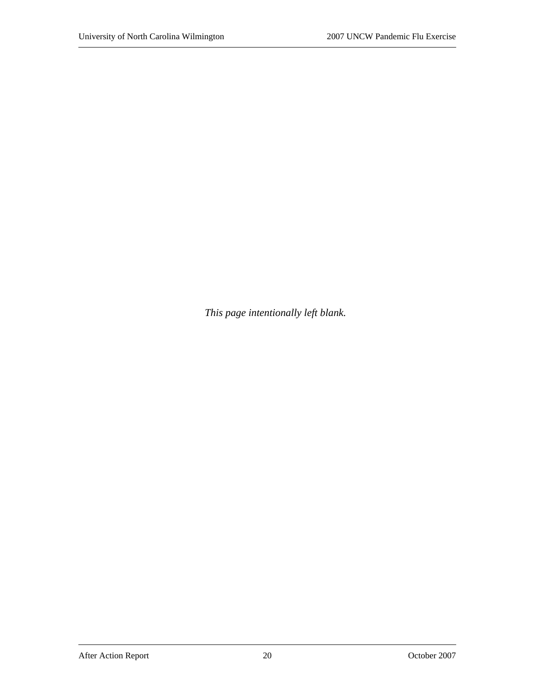*This page intentionally left blank.*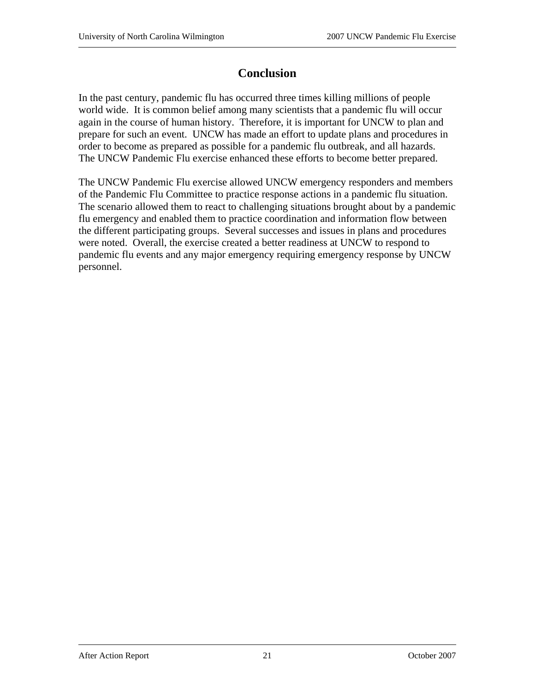## **Conclusion**

In the past century, pandemic flu has occurred three times killing millions of people world wide. It is common belief among many scientists that a pandemic flu will occur again in the course of human history. Therefore, it is important for UNCW to plan and prepare for such an event. UNCW has made an effort to update plans and procedures in order to become as prepared as possible for a pandemic flu outbreak, and all hazards. The UNCW Pandemic Flu exercise enhanced these efforts to become better prepared.

The UNCW Pandemic Flu exercise allowed UNCW emergency responders and members of the Pandemic Flu Committee to practice response actions in a pandemic flu situation. The scenario allowed them to react to challenging situations brought about by a pandemic flu emergency and enabled them to practice coordination and information flow between the different participating groups. Several successes and issues in plans and procedures were noted. Overall, the exercise created a better readiness at UNCW to respond to pandemic flu events and any major emergency requiring emergency response by UNCW personnel.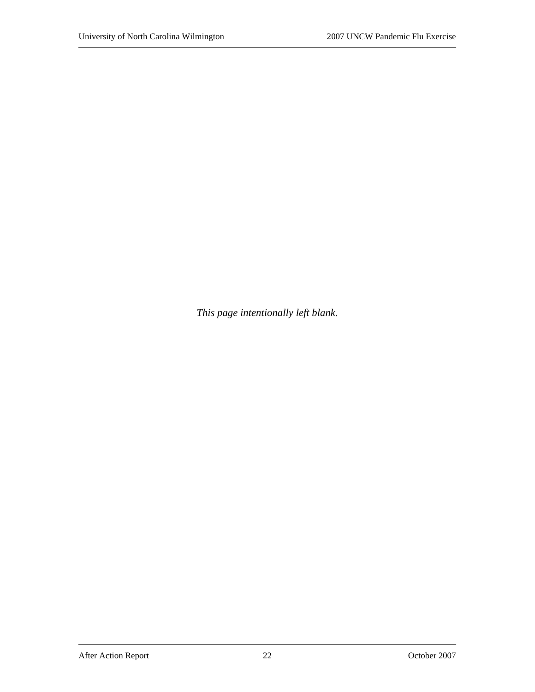*This page intentionally left blank.*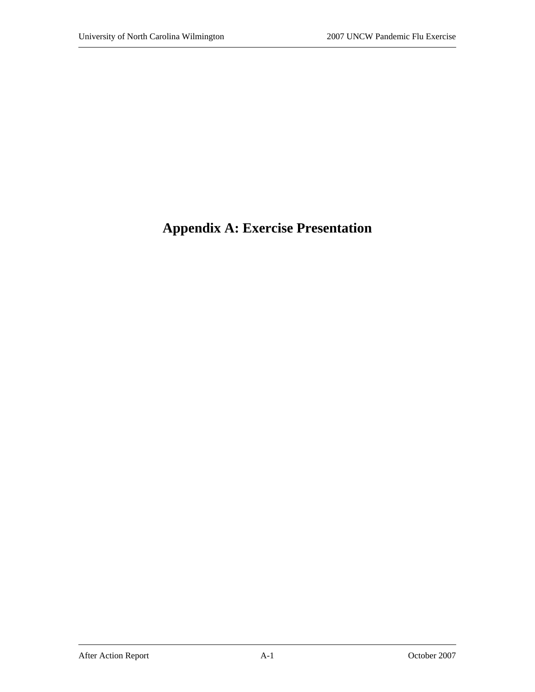# **Appendix A: Exercise Presentation**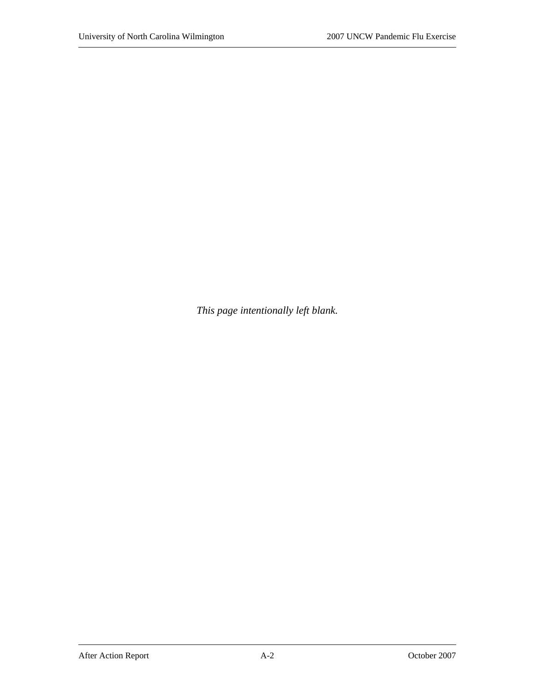*This page intentionally left blank.*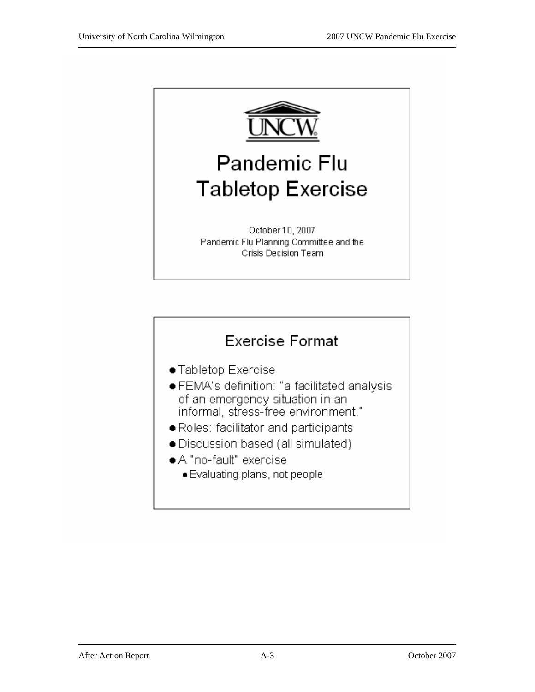

# **Exercise Format**

- Tabletop Exercise
- · FEMA's definition: "a facilitated analysis of an emergency situation in an informal, stress-free environment."
- . Roles: facilitator and participants
- · Discussion based (all simulated)
- A "no-fault" exercise
	- · Evaluating plans, not people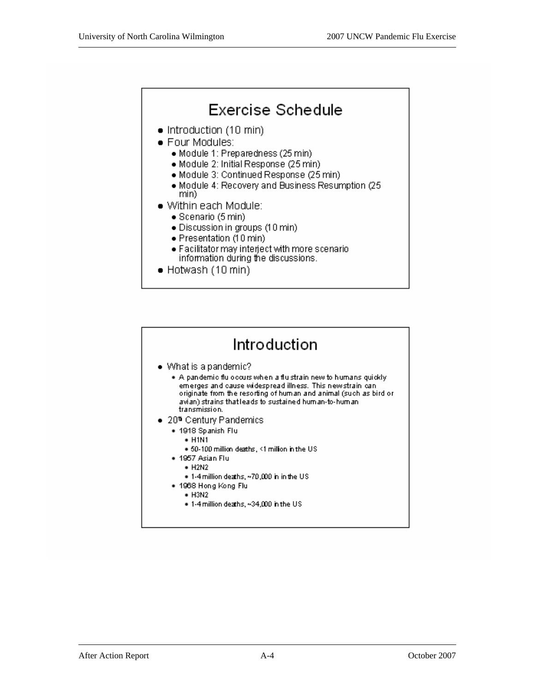

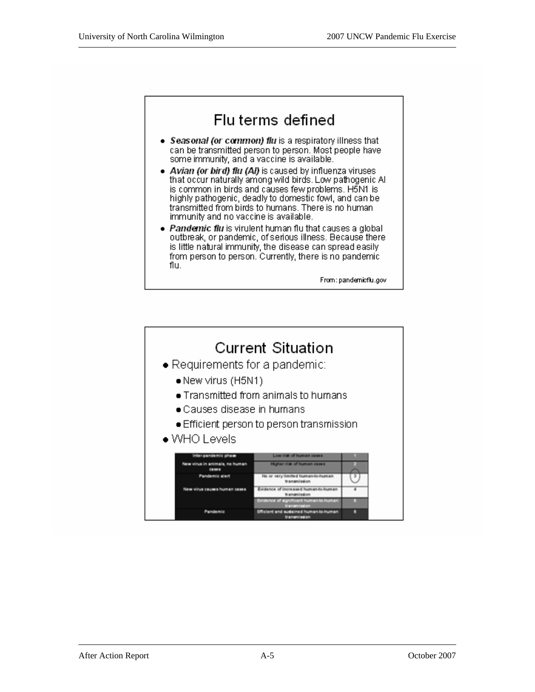# Flu terms defined

- Seasonal (or common) flu is a respiratory illness that can be transmitted person to person. Most people have some immunity, and a vaccine is available.
- Avian (or bird) flu (AI) is caused by influenza viruses<br>that occur naturally among wild birds. Low pathogenic AI is common in birds and causes few problems. H5N1 is highly pathogenic, deadly to domestic fowl, and can be transmitted from birds to humans. There is no human immunity and no vaccine is available.
- Pandemic flu is virulent human flu that causes a global outbreak, or pandemic, of serious illness. Because there is little natural immunity, the disease can spread easily from person to person. Currently, there is no pandemic flu.

From: pandemicflu.gov

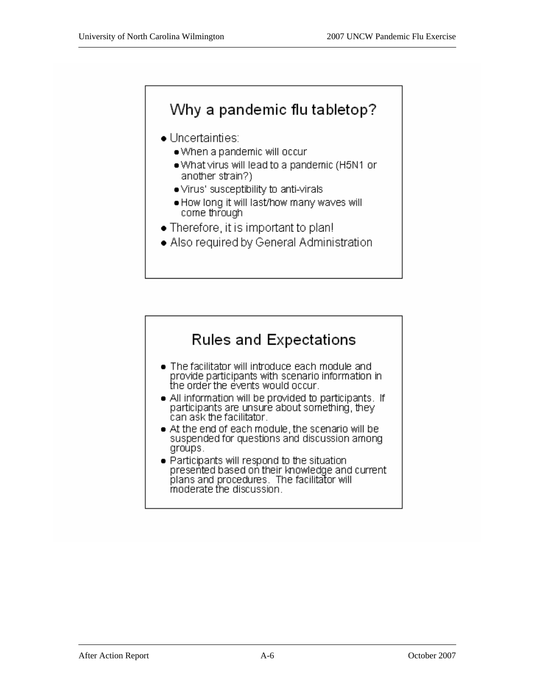# Why a pandemic flu tabletop?

- Uncertainties:
	- When a pandemic will occur
	- . What virus will lead to a pandemic (H5N1 or another strain?)
	- $\bullet$  Virus' susceptibility to anti-virals
	- . How long it will last/how many waves will come through
- Therefore, it is important to plan!
- Also required by General Administration

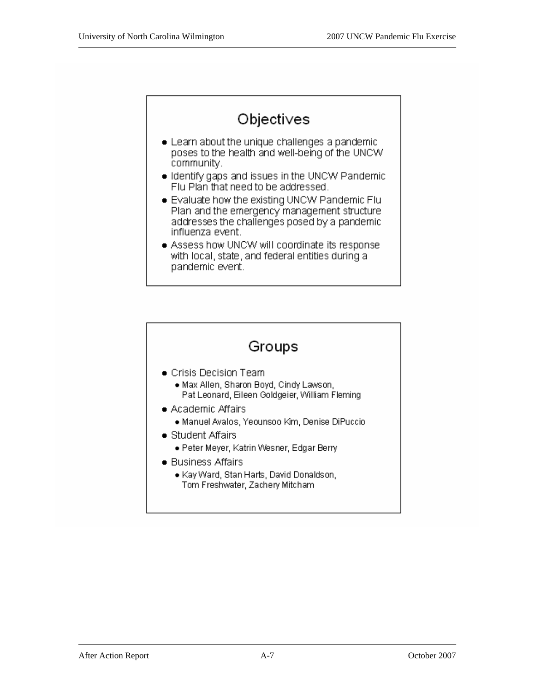# Objectives

- Learn about the unique challenges a pandemic poses to the health and well-being of the UNCW community.
- Identify gaps and issues in the UNCW Pandemic Flu Plan that need to be addressed.
- . Evaluate how the existing UNCW Pandemic Flu Plan and the emergency management structure addresses the challenges posed by a pandemic influenza event.
- Assess how UNCW will coordinate its response with local, state, and federal entities during a pandemic event.

# Groups

- $\bullet$  Crisis Decision Team
	- · Max Allen, Sharon Boyd, Cindy Lawson, Pat Leonard, Eileen Goldgeier, William Fleming
- Academic Affairs
	- · Manuel Avalos, Yeounsoo Kim, Denise DiPuccio
- Student Affairs
	- · Peter Meyer, Katrin Wesner, Edgar Berry
- Business Affairs
	- · Kay Ward, Stan Harts, David Donaldson, Tom Freshwater, Zachery Mitcham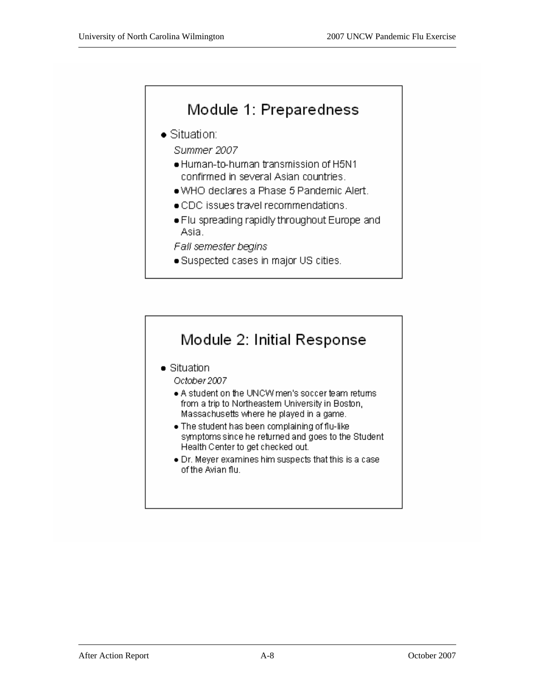# Module 1: Preparedness

- Situation:
	- Summer 2007
	- . Human-to-human transmission of H5N1 confirmed in several Asian countries.
	- . WHO declares a Phase 5 Pandemic Alert.
	- . CDC issues travel recommendations.
	- Flu spreading rapidly throughout Europe and Asia.

Fall semester begins

· Suspected cases in major US cities.



## • Situation

- October 2007
- . A student on the UNCW men's soccer team retums from a trip to Northeastem University in Boston, Massachusetts where he played in a game.
- . The student has been complaining of flu-like symptoms since he returned and goes to the Student Health Center to get checked out.
- . Dr. Meyer examines him suspects that this is a case of the Avian flu.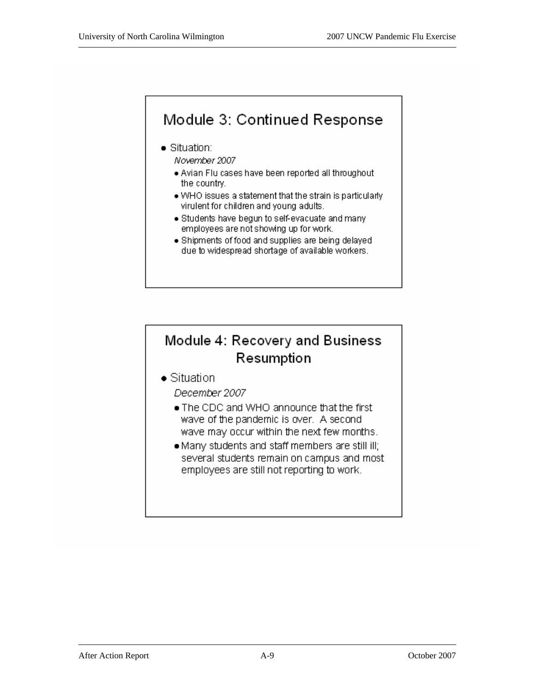

• Situation:

November 2007

- . Avian Flu cases have been reported all throughout the country.
- . WHO issues a statement that the strain is particularly virulent for children and young adults.
- · Students have begun to self-evacuate and many employees are not showing up for work.
- . Shipments of food and supplies are being delayed due to widespread shortage of available workers.

# **Module 4: Recovery and Business** Resumption

 $\bullet$  Situation

December 2007

- . The CDC and WHO announce that the first wave of the pandemic is over. A second wave may occur within the next few months.
- Many students and staff members are still ill; several students remain on campus and most employees are still not reporting to work.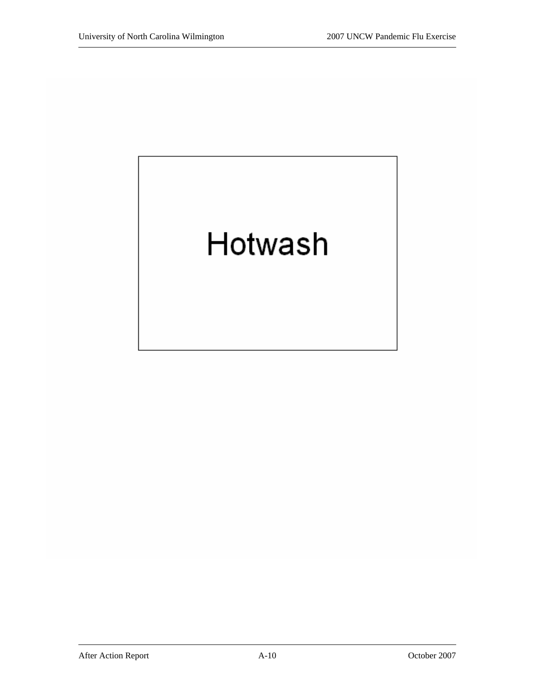# Hotwash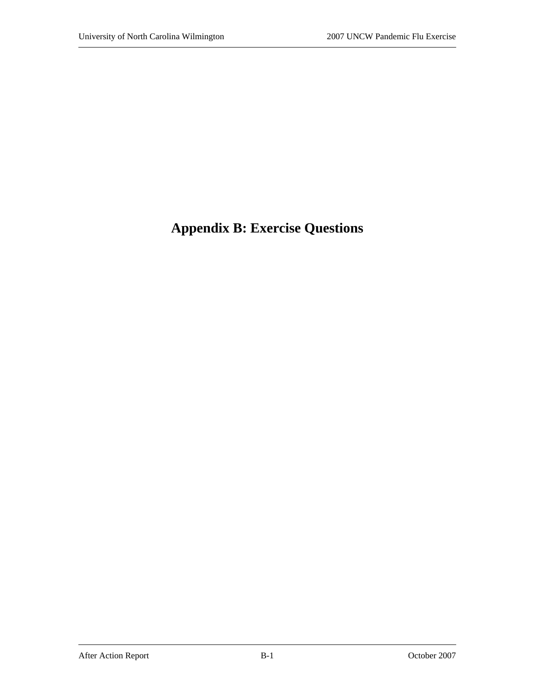# **Appendix B: Exercise Questions**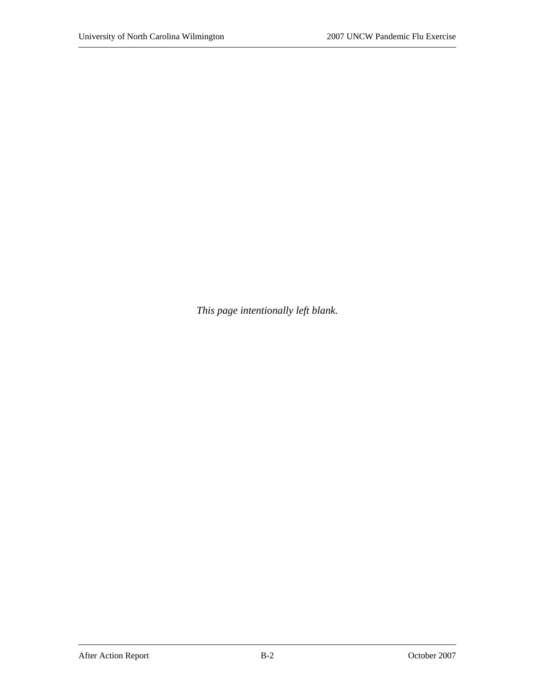*This page intentionally left blank.*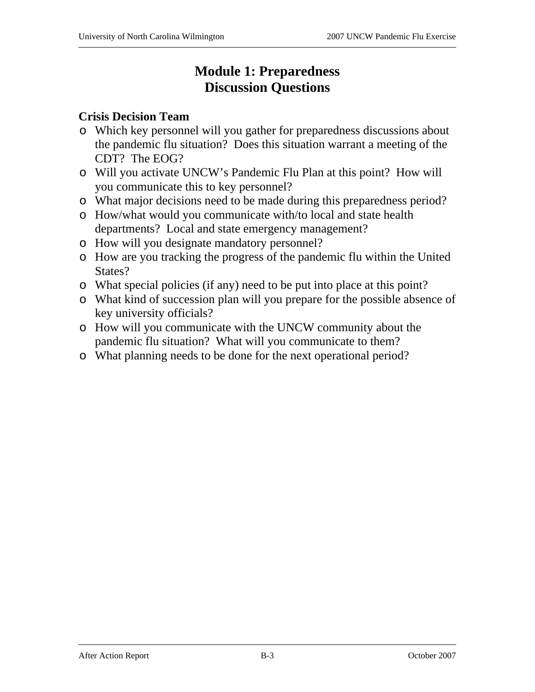# **Module 1: Preparedness Discussion Questions**

## **Crisis Decision Team**

- o Which key personnel will you gather for preparedness discussions about the pandemic flu situation? Does this situation warrant a meeting of the CDT? The EOG?
- o Will you activate UNCW's Pandemic Flu Plan at this point? How will you communicate this to key personnel?
- o What major decisions need to be made during this preparedness period?
- o How/what would you communicate with/to local and state health departments? Local and state emergency management?
- o How will you designate mandatory personnel?
- o How are you tracking the progress of the pandemic flu within the United States?
- o What special policies (if any) need to be put into place at this point?
- o What kind of succession plan will you prepare for the possible absence of key university officials?
- o How will you communicate with the UNCW community about the pandemic flu situation? What will you communicate to them?
- o What planning needs to be done for the next operational period?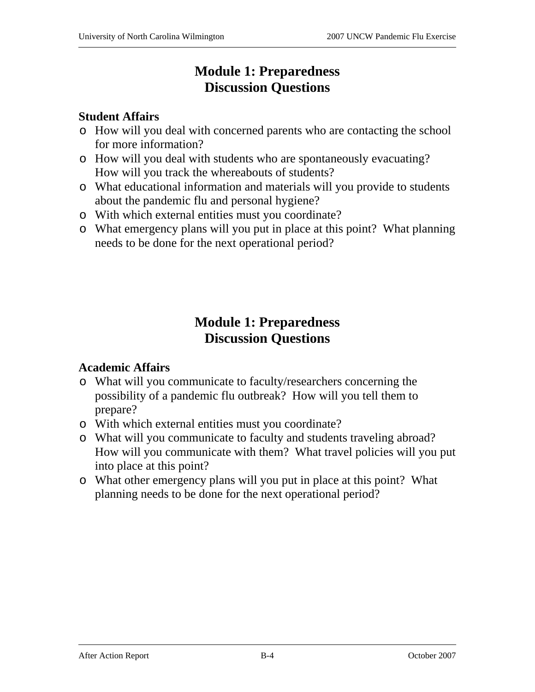# **Module 1: Preparedness Discussion Questions**

## **Student Affairs**

- o How will you deal with concerned parents who are contacting the school for more information?
- o How will you deal with students who are spontaneously evacuating? How will you track the whereabouts of students?
- o What educational information and materials will you provide to students about the pandemic flu and personal hygiene?
- o With which external entities must you coordinate?
- o What emergency plans will you put in place at this point? What planning needs to be done for the next operational period?

# **Module 1: Preparedness Discussion Questions**

## **Academic Affairs**

- o What will you communicate to faculty/researchers concerning the possibility of a pandemic flu outbreak? How will you tell them to prepare?
- o With which external entities must you coordinate?
- o What will you communicate to faculty and students traveling abroad? How will you communicate with them? What travel policies will you put into place at this point?
- o What other emergency plans will you put in place at this point? What planning needs to be done for the next operational period?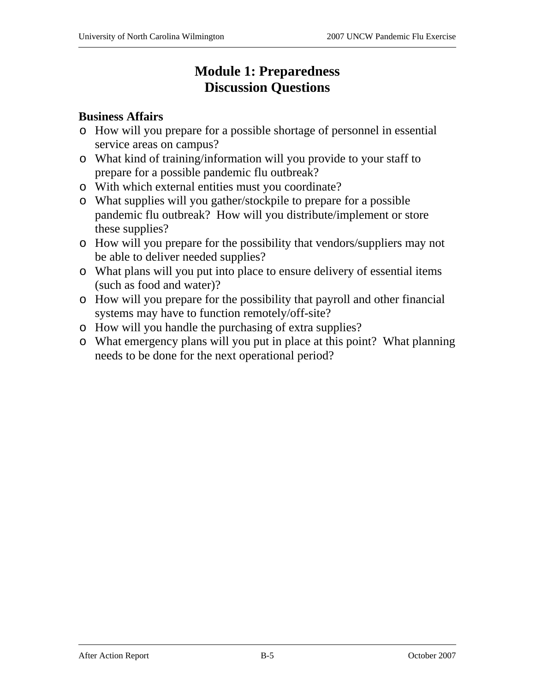# **Module 1: Preparedness Discussion Questions**

## **Business Affairs**

- o How will you prepare for a possible shortage of personnel in essential service areas on campus?
- o What kind of training/information will you provide to your staff to prepare for a possible pandemic flu outbreak?
- o With which external entities must you coordinate?
- o What supplies will you gather/stockpile to prepare for a possible pandemic flu outbreak? How will you distribute/implement or store these supplies?
- o How will you prepare for the possibility that vendors/suppliers may not be able to deliver needed supplies?
- o What plans will you put into place to ensure delivery of essential items (such as food and water)?
- o How will you prepare for the possibility that payroll and other financial systems may have to function remotely/off-site?
- o How will you handle the purchasing of extra supplies?
- o What emergency plans will you put in place at this point? What planning needs to be done for the next operational period?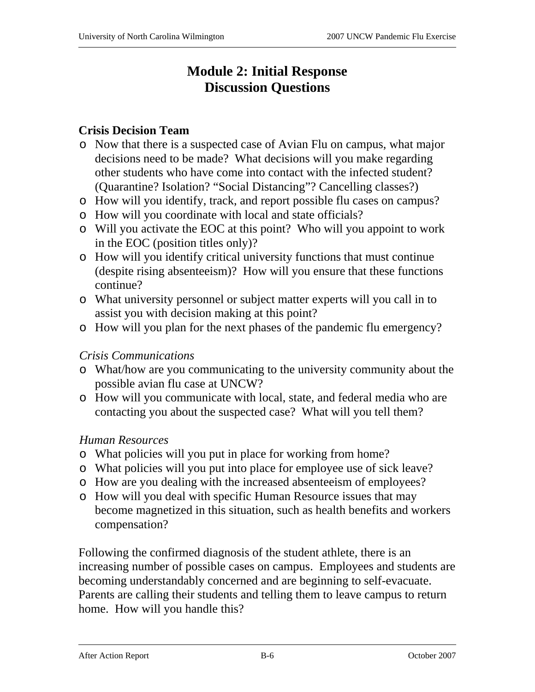# **Module 2: Initial Response Discussion Questions**

## **Crisis Decision Team**

- o Now that there is a suspected case of Avian Flu on campus, what major decisions need to be made? What decisions will you make regarding other students who have come into contact with the infected student? (Quarantine? Isolation? "Social Distancing"? Cancelling classes?)
- o How will you identify, track, and report possible flu cases on campus?
- o How will you coordinate with local and state officials?
- o Will you activate the EOC at this point? Who will you appoint to work in the EOC (position titles only)?
- o How will you identify critical university functions that must continue (despite rising absenteeism)? How will you ensure that these functions continue?
- o What university personnel or subject matter experts will you call in to assist you with decision making at this point?
- o How will you plan for the next phases of the pandemic flu emergency?

## *Crisis Communications*

- o What/how are you communicating to the university community about the possible avian flu case at UNCW?
- o How will you communicate with local, state, and federal media who are contacting you about the suspected case? What will you tell them?

## *Human Resources*

- o What policies will you put in place for working from home?
- o What policies will you put into place for employee use of sick leave?
- o How are you dealing with the increased absenteeism of employees?
- o How will you deal with specific Human Resource issues that may become magnetized in this situation, such as health benefits and workers compensation?

Following the confirmed diagnosis of the student athlete, there is an increasing number of possible cases on campus. Employees and students are becoming understandably concerned and are beginning to self-evacuate. Parents are calling their students and telling them to leave campus to return home. How will you handle this?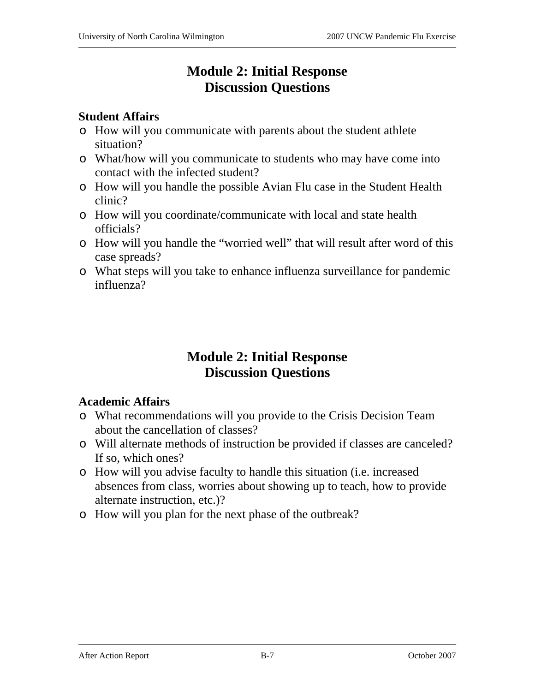# **Module 2: Initial Response Discussion Questions**

## **Student Affairs**

- o How will you communicate with parents about the student athlete situation?
- o What/how will you communicate to students who may have come into contact with the infected student?
- o How will you handle the possible Avian Flu case in the Student Health clinic?
- o How will you coordinate/communicate with local and state health officials?
- o How will you handle the "worried well" that will result after word of this case spreads?
- o What steps will you take to enhance influenza surveillance for pandemic influenza?

# **Module 2: Initial Response Discussion Questions**

## **Academic Affairs**

- o What recommendations will you provide to the Crisis Decision Team about the cancellation of classes?
- o Will alternate methods of instruction be provided if classes are canceled? If so, which ones?
- o How will you advise faculty to handle this situation (i.e. increased absences from class, worries about showing up to teach, how to provide alternate instruction, etc.)?
- o How will you plan for the next phase of the outbreak?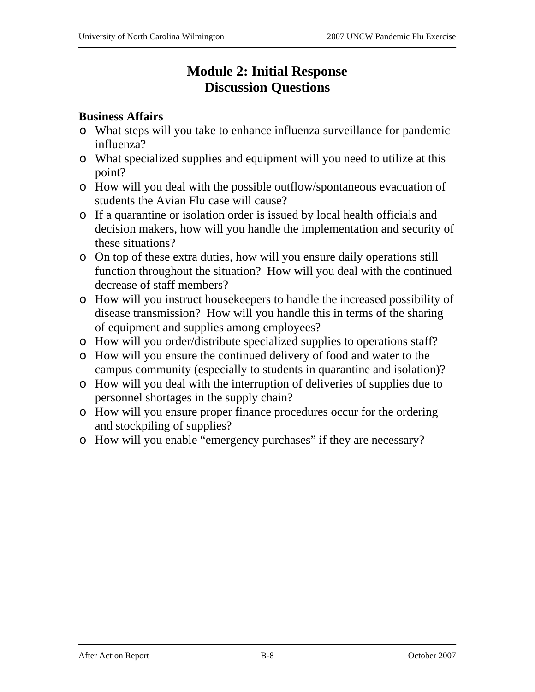# **Module 2: Initial Response Discussion Questions**

## **Business Affairs**

- o What steps will you take to enhance influenza surveillance for pandemic influenza?
- o What specialized supplies and equipment will you need to utilize at this point?
- o How will you deal with the possible outflow/spontaneous evacuation of students the Avian Flu case will cause?
- o If a quarantine or isolation order is issued by local health officials and decision makers, how will you handle the implementation and security of these situations?
- o On top of these extra duties, how will you ensure daily operations still function throughout the situation? How will you deal with the continued decrease of staff members?
- o How will you instruct housekeepers to handle the increased possibility of disease transmission? How will you handle this in terms of the sharing of equipment and supplies among employees?
- o How will you order/distribute specialized supplies to operations staff?
- o How will you ensure the continued delivery of food and water to the campus community (especially to students in quarantine and isolation)?
- o How will you deal with the interruption of deliveries of supplies due to personnel shortages in the supply chain?
- o How will you ensure proper finance procedures occur for the ordering and stockpiling of supplies?
- o How will you enable "emergency purchases" if they are necessary?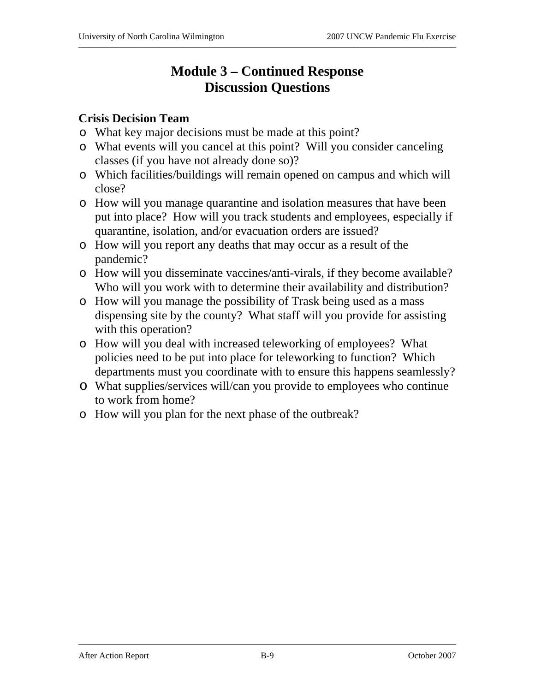# **Module 3 – Continued Response Discussion Questions**

## **Crisis Decision Team**

- o What key major decisions must be made at this point?
- o What events will you cancel at this point? Will you consider canceling classes (if you have not already done so)?
- o Which facilities/buildings will remain opened on campus and which will close?
- o How will you manage quarantine and isolation measures that have been put into place? How will you track students and employees, especially if quarantine, isolation, and/or evacuation orders are issued?
- o How will you report any deaths that may occur as a result of the pandemic?
- o How will you disseminate vaccines/anti-virals, if they become available? Who will you work with to determine their availability and distribution?
- o How will you manage the possibility of Trask being used as a mass dispensing site by the county? What staff will you provide for assisting with this operation?
- o How will you deal with increased teleworking of employees? What policies need to be put into place for teleworking to function? Which departments must you coordinate with to ensure this happens seamlessly?
- o What supplies/services will/can you provide to employees who continue to work from home?
- o How will you plan for the next phase of the outbreak?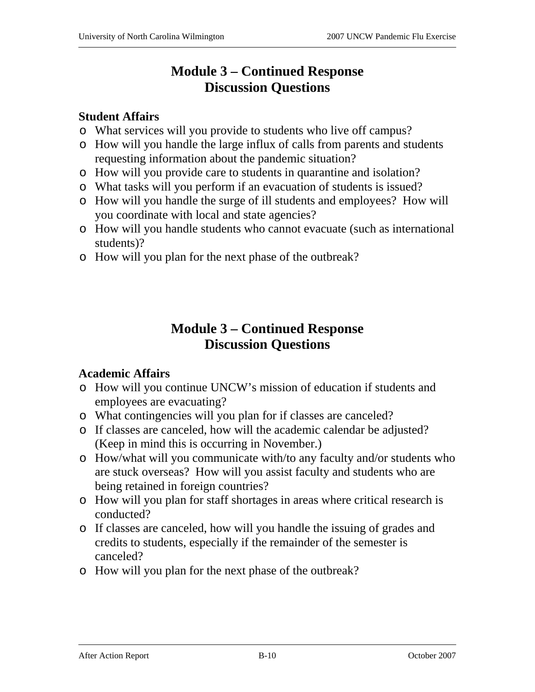# **Module 3 – Continued Response Discussion Questions**

## **Student Affairs**

- o What services will you provide to students who live off campus?
- o How will you handle the large influx of calls from parents and students requesting information about the pandemic situation?
- o How will you provide care to students in quarantine and isolation?
- o What tasks will you perform if an evacuation of students is issued?
- o How will you handle the surge of ill students and employees? How will you coordinate with local and state agencies?
- o How will you handle students who cannot evacuate (such as international students)?
- o How will you plan for the next phase of the outbreak?

# **Module 3 – Continued Response Discussion Questions**

## **Academic Affairs**

- o How will you continue UNCW's mission of education if students and employees are evacuating?
- o What contingencies will you plan for if classes are canceled?
- o If classes are canceled, how will the academic calendar be adjusted? (Keep in mind this is occurring in November.)
- o How/what will you communicate with/to any faculty and/or students who are stuck overseas? How will you assist faculty and students who are being retained in foreign countries?
- o How will you plan for staff shortages in areas where critical research is conducted?
- o If classes are canceled, how will you handle the issuing of grades and credits to students, especially if the remainder of the semester is canceled?
- o How will you plan for the next phase of the outbreak?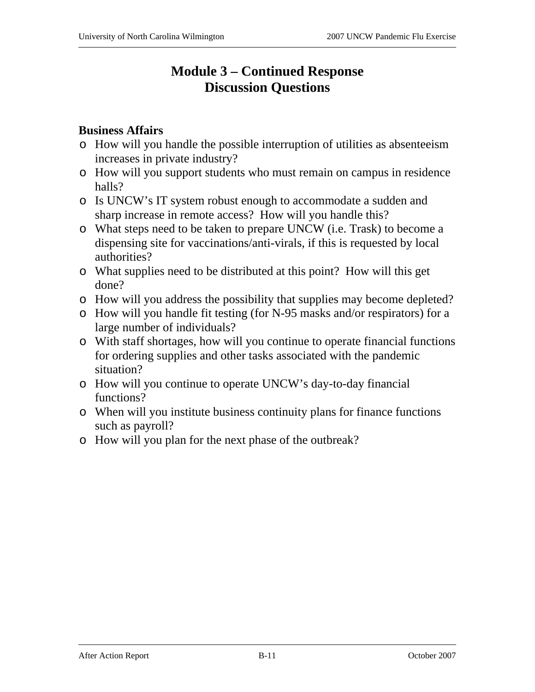# **Module 3 – Continued Response Discussion Questions**

## **Business Affairs**

- o How will you handle the possible interruption of utilities as absenteeism increases in private industry?
- o How will you support students who must remain on campus in residence halls?
- o Is UNCW's IT system robust enough to accommodate a sudden and sharp increase in remote access? How will you handle this?
- o What steps need to be taken to prepare UNCW (i.e. Trask) to become a dispensing site for vaccinations/anti-virals, if this is requested by local authorities?
- o What supplies need to be distributed at this point? How will this get done?
- o How will you address the possibility that supplies may become depleted?
- o How will you handle fit testing (for N-95 masks and/or respirators) for a large number of individuals?
- o With staff shortages, how will you continue to operate financial functions for ordering supplies and other tasks associated with the pandemic situation?
- o How will you continue to operate UNCW's day-to-day financial functions?
- o When will you institute business continuity plans for finance functions such as payroll?
- o How will you plan for the next phase of the outbreak?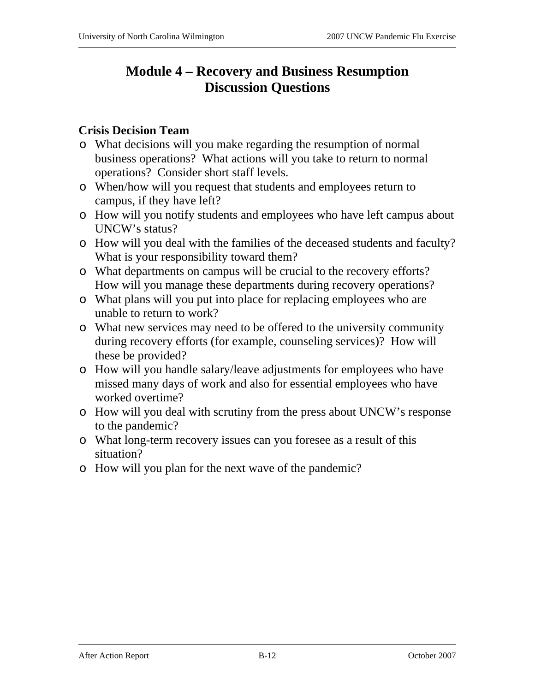# **Module 4 – Recovery and Business Resumption Discussion Questions**

## **Crisis Decision Team**

- o What decisions will you make regarding the resumption of normal business operations? What actions will you take to return to normal operations? Consider short staff levels.
- o When/how will you request that students and employees return to campus, if they have left?
- o How will you notify students and employees who have left campus about UNCW's status?
- o How will you deal with the families of the deceased students and faculty? What is your responsibility toward them?
- o What departments on campus will be crucial to the recovery efforts? How will you manage these departments during recovery operations?
- o What plans will you put into place for replacing employees who are unable to return to work?
- o What new services may need to be offered to the university community during recovery efforts (for example, counseling services)? How will these be provided?
- o How will you handle salary/leave adjustments for employees who have missed many days of work and also for essential employees who have worked overtime?
- o How will you deal with scrutiny from the press about UNCW's response to the pandemic?
- o What long-term recovery issues can you foresee as a result of this situation?
- o How will you plan for the next wave of the pandemic?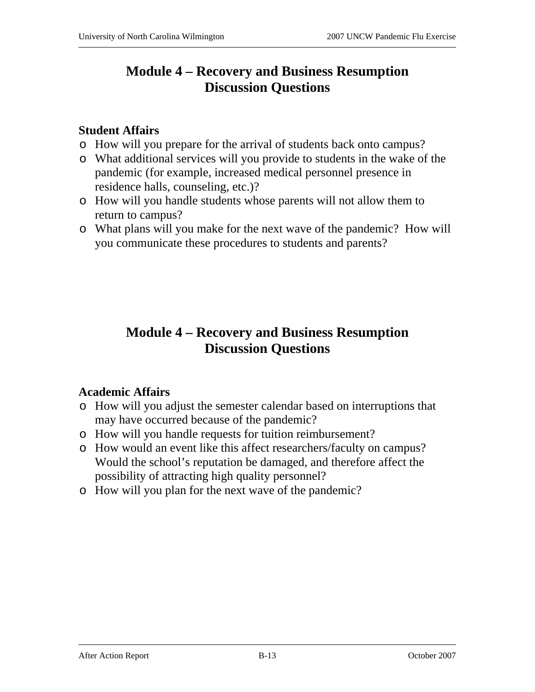# **Module 4 – Recovery and Business Resumption Discussion Questions**

## **Student Affairs**

- o How will you prepare for the arrival of students back onto campus?
- o What additional services will you provide to students in the wake of the pandemic (for example, increased medical personnel presence in residence halls, counseling, etc.)?
- o How will you handle students whose parents will not allow them to return to campus?
- o What plans will you make for the next wave of the pandemic? How will you communicate these procedures to students and parents?

# **Module 4 – Recovery and Business Resumption Discussion Questions**

## **Academic Affairs**

- o How will you adjust the semester calendar based on interruptions that may have occurred because of the pandemic?
- o How will you handle requests for tuition reimbursement?
- o How would an event like this affect researchers/faculty on campus? Would the school's reputation be damaged, and therefore affect the possibility of attracting high quality personnel?
- o How will you plan for the next wave of the pandemic?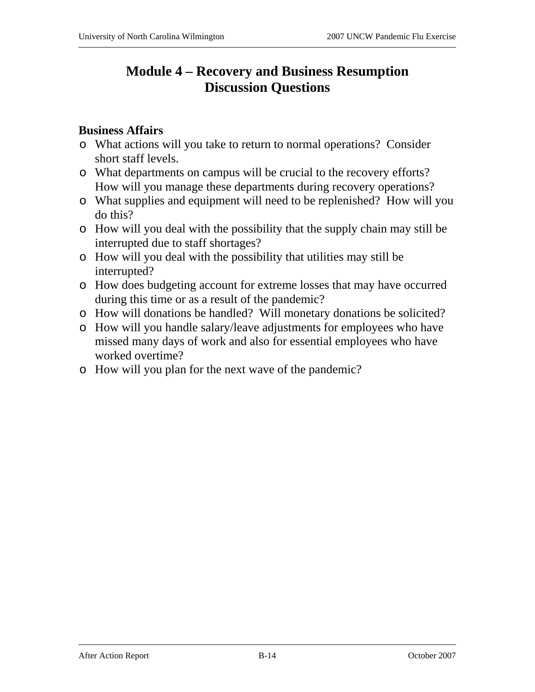# **Module 4 – Recovery and Business Resumption Discussion Questions**

## **Business Affairs**

- o What actions will you take to return to normal operations? Consider short staff levels.
- o What departments on campus will be crucial to the recovery efforts? How will you manage these departments during recovery operations?
- o What supplies and equipment will need to be replenished? How will you do this?
- o How will you deal with the possibility that the supply chain may still be interrupted due to staff shortages?
- o How will you deal with the possibility that utilities may still be interrupted?
- o How does budgeting account for extreme losses that may have occurred during this time or as a result of the pandemic?
- o How will donations be handled? Will monetary donations be solicited?
- o How will you handle salary/leave adjustments for employees who have missed many days of work and also for essential employees who have worked overtime?
- o How will you plan for the next wave of the pandemic?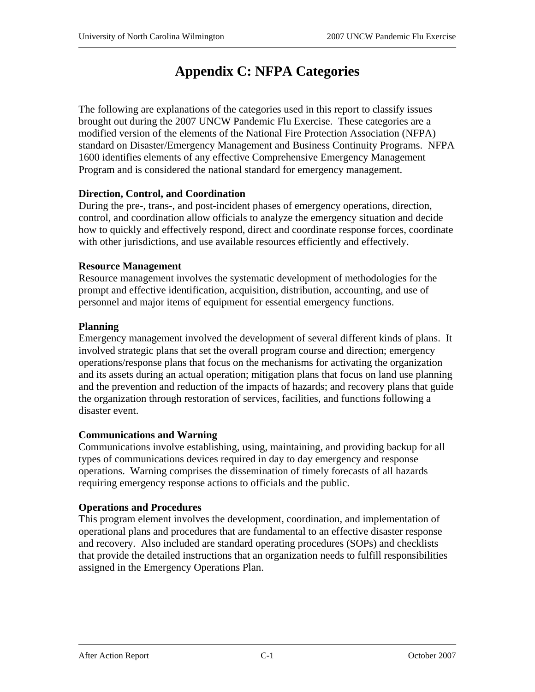# **Appendix C: NFPA Categories**

The following are explanations of the categories used in this report to classify issues brought out during the 2007 UNCW Pandemic Flu Exercise. These categories are a modified version of the elements of the National Fire Protection Association (NFPA) standard on Disaster/Emergency Management and Business Continuity Programs. NFPA 1600 identifies elements of any effective Comprehensive Emergency Management Program and is considered the national standard for emergency management.

#### **Direction, Control, and Coordination**

During the pre-, trans-, and post-incident phases of emergency operations, direction, control, and coordination allow officials to analyze the emergency situation and decide how to quickly and effectively respond, direct and coordinate response forces, coordinate with other jurisdictions, and use available resources efficiently and effectively.

#### **Resource Management**

Resource management involves the systematic development of methodologies for the prompt and effective identification, acquisition, distribution, accounting, and use of personnel and major items of equipment for essential emergency functions.

## **Planning**

Emergency management involved the development of several different kinds of plans. It involved strategic plans that set the overall program course and direction; emergency operations/response plans that focus on the mechanisms for activating the organization and its assets during an actual operation; mitigation plans that focus on land use planning and the prevention and reduction of the impacts of hazards; and recovery plans that guide the organization through restoration of services, facilities, and functions following a disaster event.

#### **Communications and Warning**

Communications involve establishing, using, maintaining, and providing backup for all types of communications devices required in day to day emergency and response operations. Warning comprises the dissemination of timely forecasts of all hazards requiring emergency response actions to officials and the public.

## **Operations and Procedures**

This program element involves the development, coordination, and implementation of operational plans and procedures that are fundamental to an effective disaster response and recovery. Also included are standard operating procedures (SOPs) and checklists that provide the detailed instructions that an organization needs to fulfill responsibilities assigned in the Emergency Operations Plan.